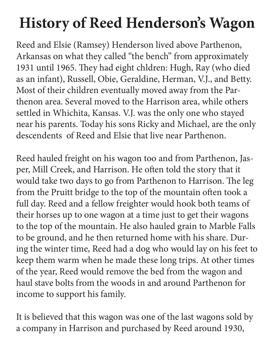## **History of Reed Henderson's Wagon**

Reed and Elsie (Ramsey) Henderson lived above Parthenon, Arkansas on what they called "the bench" from approximately 1931 until 1965. They had eight chldren: Hugh, Ray (who died as an infant), Russell, Obie, Geraldine, Herman, V.J., and Betty. Most of their children eventually moved away from the Parthenon area. Several moved to the Harrison area, while others settled in Whichita, Kansas. V.J. was the only one who stayed near his parents. Today his sons Ricky and Michael, are the only descendents of Reed and Elsie that live near Parthenon.

Reed hauled freight on his wagon too and from Parthenon, Jasper, Mill Creek, and Harrison. He often told the story that it would take two days to go from Parthenon to Harrison. The leg from the Pruitt bridge to the top of the mountain often took a full day. Reed and a fellow freighter would hook both teams of their horses up to one wagon at a time just to get their wagons to the top of the mountain. He also hauled grain to Marble Falls to be ground, and he then returned home with his share. During the winter time, Reed had a dog who would lay on his feet to keep them warm when he made these long trips. At other times of the year, Reed would remove the bed from the wagon and haul stave bolts from the woods in and around Parthenon for income to support his family.

It is believed that this wagon was one of the last wagons sold by a company in Harrison and purchased by Reed around 1930,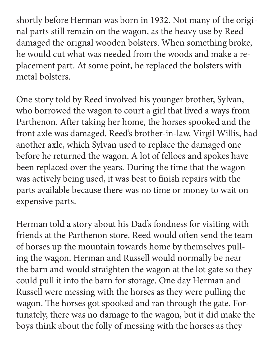shortly before Herman was born in 1932. Not many of the original parts still remain on the wagon, as the heavy use by Reed damaged the orignal wooden bolsters. When something broke, he would cut what was needed from the woods and make a replacement part. At some point, he replaced the bolsters with metal bolsters.

One story told by Reed involved his younger brother, Sylvan, who borrowed the wagon to court a girl that lived a ways from Parthenon. After taking her home, the horses spooked and the front axle was damaged. Reed's brother-in-law, Virgil Willis, had another axle, which Sylvan used to replace the damaged one before he returned the wagon. A lot of felloes and spokes have been replaced over the years. During the time that the wagon was actively being used, it was best to finish repairs with the parts available because there was no time or money to wait on expensive parts.

Herman told a story about his Dad's fondness for visiting with friends at the Parthenon store. Reed would often send the team of horses up the mountain towards home by themselves pulling the wagon. Herman and Russell would normally be near the barn and would straighten the wagon at the lot gate so they could pull it into the barn for storage. One day Herman and Russell were messing with the horses as they were pulling the wagon. The horses got spooked and ran through the gate. Fortunately, there was no damage to the wagon, but it did make the boys think about the folly of messing with the horses as they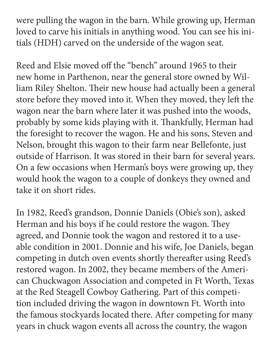were pulling the wagon in the barn. While growing up, Herman loved to carve his initials in anything wood. You can see his initials (HDH) carved on the underside of the wagon seat.

Reed and Elsie moved off the "bench" around 1965 to their new home in Parthenon, near the general store owned by William Riley Shelton. Their new house had actually been a general store before they moved into it. When they moved, they left the wagon near the barn where later it was pushed into the woods, probably by some kids playing with it. Thankfully, Herman had the foresight to recover the wagon. He and his sons, Steven and Nelson, brought this wagon to their farm near Bellefonte, just outside of Harrison. It was stored in their barn for several years. On a few occasions when Herman's boys were growing up, they would hook the wagon to a couple of donkeys they owned and take it on short rides.

In 1982, Reed's grandson, Donnie Daniels (Obie's son), asked Herman and his boys if he could restore the wagon. They agreed, and Donnie took the wagon and restored it to a useable condition in 2001. Donnie and his wife, Joe Daniels, began competing in dutch oven events shortly thereafter using Reed's restored wagon. In 2002, they became members of the American Chuckwagon Association and competed in Ft Worth, Texas at the Red Steagell Cowboy Gathering. Part of this competition included driving the wagon in downtown Ft. Worth into the famous stockyards located there. After competing for many years in chuck wagon events all across the country, the wagon